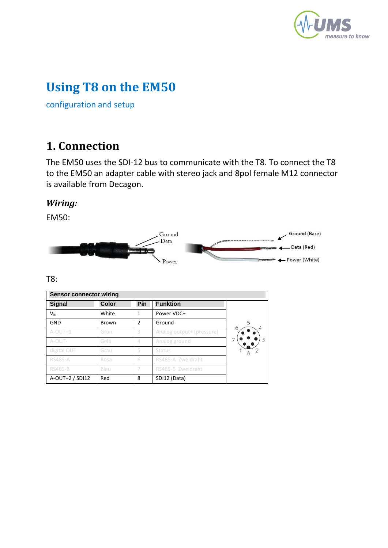

# **Using T8 on the EM50**

configuration and setup

### **1. Connection**

The EM50 uses the SDI-12 bus to communicate with the T8. To connect the T8 to the EM50 an adapter cable with stereo jack and 8pol female M12 connector is available from Decagon.

#### *Wiring:*

EM50:



T8:

| <b>Sensor connector wiring</b> |              |               |                           |   |
|--------------------------------|--------------|---------------|---------------------------|---|
| <b>Signal</b>                  | <b>Color</b> | Pin           | <b>Funktion</b>           |   |
| $V_{in}$                       | White        |               | Power VDC+                |   |
| GND                            | Brown        | $\mathfrak z$ | Ground                    | 5 |
| $A-OUT+1$                      | Grün         | 3             | Analog output+ (pressure) | 6 |
| A-OUT-                         | Gelb         | 4             | Analog ground             |   |
| digital OUT                    | Grau         | 5             | <b>Status</b>             |   |
| <b>RS485-A</b>                 | Rosa         | 6             | RS485-A Zweidraht         |   |
| <b>RS485-B</b>                 | Blau         |               | RS485-B Zweidraht         |   |
| A-OUT+2 / SDI12                | Red          | 8             | SDI12 (Data)              |   |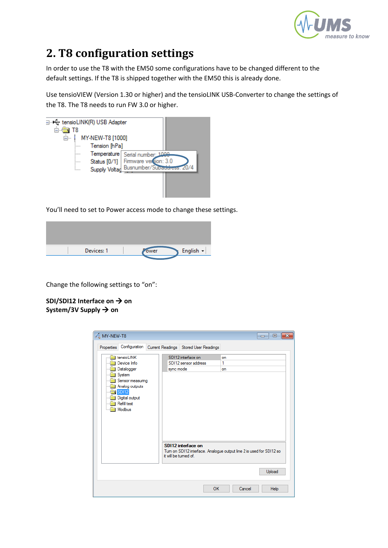

## **2. T8 configuration settings**

In order to use the T8 with the EM50 some configurations have to be changed different to the default settings. If the T8 is shipped together with the EM50 this is already done.

Use tensioVIEW (Version 1.30 or higher) and the tensioLINK USB-Converter to change the settings of the T8. The T8 needs to run FW 3.0 or higher.



You'll need to set to Power access mode to change these settings.

| Devices: 1 | ower | English - |
|------------|------|-----------|
|            |      |           |

Change the following settings to "on":

**SDI/SDI12 Interface on → on** System/3V Supply  $\rightarrow$  on

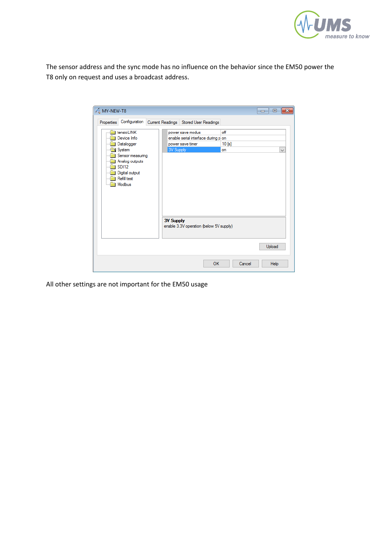

The sensor address and the sync mode has no influence on the behavior since the EM50 power the T8 only on request and uses a broadcast address.

| <b>MY-NEW-T8</b>                                                                                                                                   |                                                                                                                                                                                | $\mathbf{z}$<br>$\Box$ 0 |
|----------------------------------------------------------------------------------------------------------------------------------------------------|--------------------------------------------------------------------------------------------------------------------------------------------------------------------------------|--------------------------|
| Configuration<br>Properties                                                                                                                        | Current Readings Stored User Readings                                                                                                                                          |                          |
| tensioLINK<br>Device Info<br>Datalogger<br>System<br>Sensor measuring<br>Analog outputs<br><b>SDI12</b><br>Digital output<br>Refill test<br>Modbus | off<br>power save modus<br>enable serial interface during p on<br>power save timer<br>10 [s]<br>3V Supply<br>on<br><b>3V Supply</b><br>enable 3.3V operation (below 5V supply) | $\checkmark$<br>Upload   |
|                                                                                                                                                    | <b>OK</b><br>Cancel                                                                                                                                                            | Help                     |

All other settings are not important for the EM50 usage